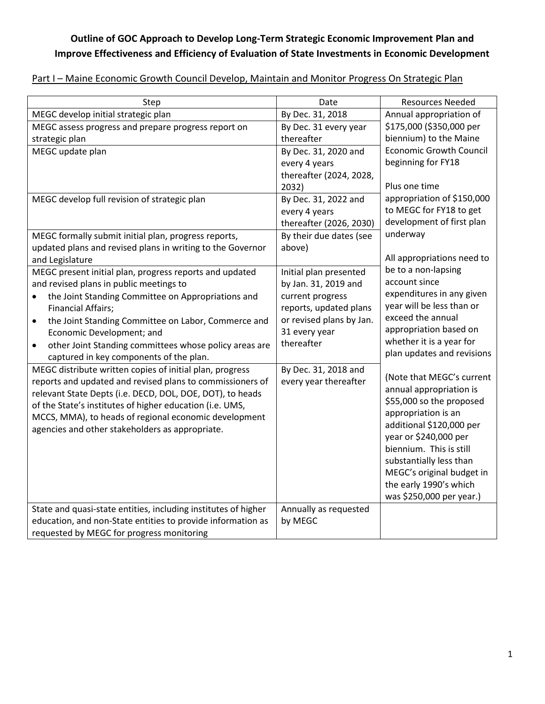## **Outline of GOC Approach to Develop Long-Term Strategic Economic Improvement Plan and Improve Effectiveness and Efficiency of Evaluation of State Investments in Economic Development**

## Part I – Maine Economic Growth Council Develop, Maintain and Monitor Progress On Strategic Plan

| Step                                                                | Date                     | <b>Resources Needed</b>        |
|---------------------------------------------------------------------|--------------------------|--------------------------------|
| MEGC develop initial strategic plan                                 | By Dec. 31, 2018         | Annual appropriation of        |
| MEGC assess progress and prepare progress report on                 | By Dec. 31 every year    | \$175,000 (\$350,000 per       |
| strategic plan                                                      | thereafter               | biennium) to the Maine         |
| MEGC update plan                                                    | By Dec. 31, 2020 and     | <b>Economic Growth Council</b> |
|                                                                     | every 4 years            | beginning for FY18             |
|                                                                     | thereafter (2024, 2028,  |                                |
|                                                                     | 2032)                    | Plus one time                  |
| MEGC develop full revision of strategic plan                        | By Dec. 31, 2022 and     | appropriation of \$150,000     |
|                                                                     | every 4 years            | to MEGC for FY18 to get        |
|                                                                     | thereafter (2026, 2030)  | development of first plan      |
| MEGC formally submit initial plan, progress reports,                | By their due dates (see  | underway                       |
| updated plans and revised plans in writing to the Governor          | above)                   |                                |
| and Legislature                                                     |                          | All appropriations need to     |
| MEGC present initial plan, progress reports and updated             | Initial plan presented   | be to a non-lapsing            |
| and revised plans in public meetings to                             | by Jan. 31, 2019 and     | account since                  |
| the Joint Standing Committee on Appropriations and                  | current progress         | expenditures in any given      |
| <b>Financial Affairs;</b>                                           | reports, updated plans   | year will be less than or      |
| the Joint Standing Committee on Labor, Commerce and<br>٠            | or revised plans by Jan. | exceed the annual              |
| Economic Development; and                                           | 31 every year            | appropriation based on         |
| other Joint Standing committees whose policy areas are<br>$\bullet$ | thereafter               | whether it is a year for       |
| captured in key components of the plan.                             |                          | plan updates and revisions     |
| MEGC distribute written copies of initial plan, progress            | By Dec. 31, 2018 and     |                                |
| reports and updated and revised plans to commissioners of           | every year thereafter    | (Note that MEGC's current      |
| relevant State Depts (i.e. DECD, DOL, DOE, DOT), to heads           |                          | annual appropriation is        |
| of the State's institutes of higher education (i.e. UMS,            |                          | \$55,000 so the proposed       |
| MCCS, MMA), to heads of regional economic development               |                          | appropriation is an            |
| agencies and other stakeholders as appropriate.                     |                          | additional \$120,000 per       |
|                                                                     |                          | year or \$240,000 per          |
|                                                                     |                          | biennium. This is still        |
|                                                                     |                          | substantially less than        |
|                                                                     |                          | MEGC's original budget in      |
|                                                                     |                          | the early 1990's which         |
|                                                                     |                          | was \$250,000 per year.)       |
| State and quasi-state entities, including institutes of higher      | Annually as requested    |                                |
| education, and non-State entities to provide information as         | by MEGC                  |                                |
| requested by MEGC for progress monitoring                           |                          |                                |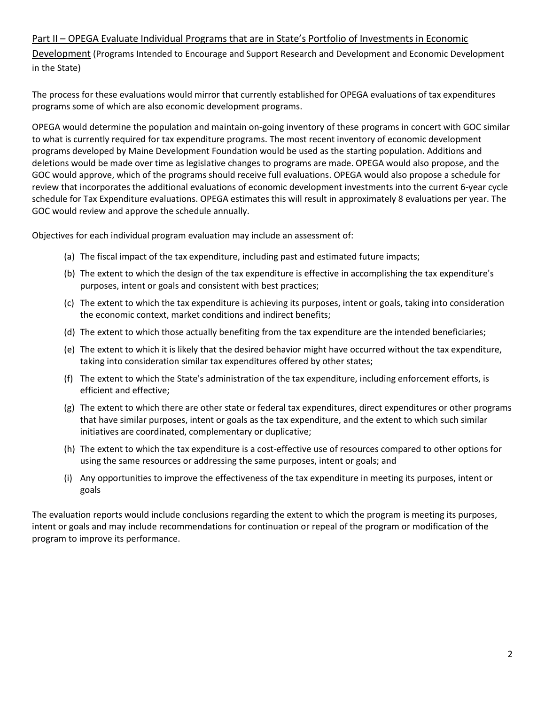## Part II – OPEGA Evaluate Individual Programs that are in State's Portfolio of Investments in Economic

Development (Programs Intended to Encourage and Support Research and Development and Economic Development in the State)

The process for these evaluations would mirror that currently established for OPEGA evaluations of tax expenditures programs some of which are also economic development programs.

OPEGA would determine the population and maintain on-going inventory of these programs in concert with GOC similar to what is currently required for tax expenditure programs. The most recent inventory of economic development programs developed by Maine Development Foundation would be used as the starting population. Additions and deletions would be made over time as legislative changes to programs are made. OPEGA would also propose, and the GOC would approve, which of the programs should receive full evaluations. OPEGA would also propose a schedule for review that incorporates the additional evaluations of economic development investments into the current 6-year cycle schedule for Tax Expenditure evaluations. OPEGA estimates this will result in approximately 8 evaluations per year. The GOC would review and approve the schedule annually.

Objectives for each individual program evaluation may include an assessment of:

- (a) The fiscal impact of the tax expenditure, including past and estimated future impacts;
- (b) The extent to which the design of the tax expenditure is effective in accomplishing the tax expenditure's purposes, intent or goals and consistent with best practices;
- (c) The extent to which the tax expenditure is achieving its purposes, intent or goals, taking into consideration the economic context, market conditions and indirect benefits;
- (d) The extent to which those actually benefiting from the tax expenditure are the intended beneficiaries;
- (e) The extent to which it is likely that the desired behavior might have occurred without the tax expenditure, taking into consideration similar tax expenditures offered by other states;
- (f) The extent to which the State's administration of the tax expenditure, including enforcement efforts, is efficient and effective;
- (g) The extent to which there are other state or federal tax expenditures, direct expenditures or other programs that have similar purposes, intent or goals as the tax expenditure, and the extent to which such similar initiatives are coordinated, complementary or duplicative;
- (h) The extent to which the tax expenditure is a cost-effective use of resources compared to other options for using the same resources or addressing the same purposes, intent or goals; and
- (i) Any opportunities to improve the effectiveness of the tax expenditure in meeting its purposes, intent or goals

The evaluation reports would include conclusions regarding the extent to which the program is meeting its purposes, intent or goals and may include recommendations for continuation or repeal of the program or modification of the program to improve its performance.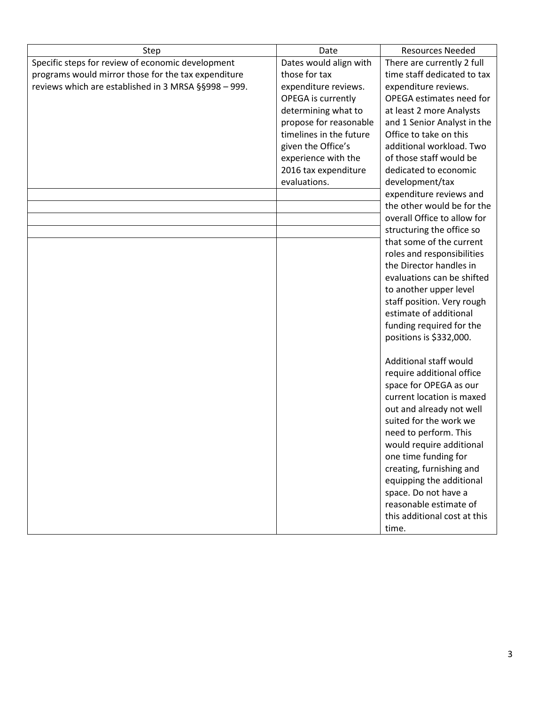| Step                                                 | Date                    | <b>Resources Needed</b>      |
|------------------------------------------------------|-------------------------|------------------------------|
| Specific steps for review of economic development    | Dates would align with  | There are currently 2 full   |
| programs would mirror those for the tax expenditure  | those for tax           | time staff dedicated to tax  |
| reviews which are established in 3 MRSA §§998 - 999. | expenditure reviews.    | expenditure reviews.         |
|                                                      | OPEGA is currently      | OPEGA estimates need for     |
|                                                      | determining what to     | at least 2 more Analysts     |
|                                                      | propose for reasonable  | and 1 Senior Analyst in the  |
|                                                      | timelines in the future | Office to take on this       |
|                                                      | given the Office's      | additional workload. Two     |
|                                                      | experience with the     | of those staff would be      |
|                                                      | 2016 tax expenditure    | dedicated to economic        |
|                                                      | evaluations.            | development/tax              |
|                                                      |                         | expenditure reviews and      |
|                                                      |                         | the other would be for the   |
|                                                      |                         | overall Office to allow for  |
|                                                      |                         | structuring the office so    |
|                                                      |                         | that some of the current     |
|                                                      |                         | roles and responsibilities   |
|                                                      |                         | the Director handles in      |
|                                                      |                         | evaluations can be shifted   |
|                                                      |                         | to another upper level       |
|                                                      |                         | staff position. Very rough   |
|                                                      |                         | estimate of additional       |
|                                                      |                         | funding required for the     |
|                                                      |                         | positions is \$332,000.      |
|                                                      |                         |                              |
|                                                      |                         | Additional staff would       |
|                                                      |                         | require additional office    |
|                                                      |                         | space for OPEGA as our       |
|                                                      |                         | current location is maxed    |
|                                                      |                         | out and already not well     |
|                                                      |                         | suited for the work we       |
|                                                      |                         | need to perform. This        |
|                                                      |                         | would require additional     |
|                                                      |                         | one time funding for         |
|                                                      |                         | creating, furnishing and     |
|                                                      |                         | equipping the additional     |
|                                                      |                         | space. Do not have a         |
|                                                      |                         | reasonable estimate of       |
|                                                      |                         | this additional cost at this |
|                                                      |                         | time.                        |